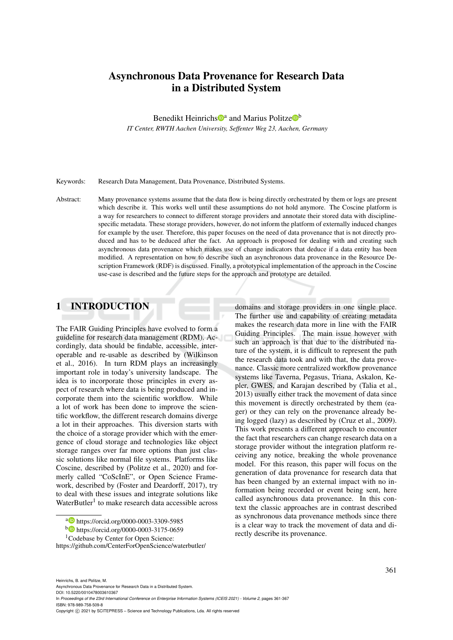# Asynchronous Data Provenance for Research Data in a Distributed System

Benedikt Heinrichs<sup>to</sup> and Marius Politze<sup>tob</sup>

*IT Center, RWTH Aachen University, Seffenter Weg 23, Aachen, Germany*

Keywords: Research Data Management, Data Provenance, Distributed Systems.

Abstract: Many provenance systems assume that the data flow is being directly orchestrated by them or logs are present which describe it. This works well until these assumptions do not hold anymore. The Coscine platform is a way for researchers to connect to different storage providers and annotate their stored data with disciplinespecific metadata. These storage providers, however, do not inform the platform of externally induced changes for example by the user. Therefore, this paper focuses on the need of data provenance that is not directly produced and has to be deduced after the fact. An approach is proposed for dealing with and creating such asynchronous data provenance which makes use of change indicators that deduce if a data entity has been modified. A representation on how to describe such an asynchronous data provenance in the Resource Description Framework (RDF) is discussed. Finally, a prototypical implementation of the approach in the Coscine use-case is described and the future steps for the approach and prototype are detailed.

# 1 INTRODUCTION

The FAIR Guiding Principles have evolved to form a guideline for research data management (RDM). Accordingly, data should be findable, accessible, interoperable and re-usable as described by (Wilkinson et al., 2016). In turn RDM plays an increasingly important role in today's university landscape. The idea is to incorporate those principles in every aspect of research where data is being produced and incorporate them into the scientific workflow. While a lot of work has been done to improve the scientific workflow, the different research domains diverge a lot in their approaches. This diversion starts with the choice of a storage provider which with the emergence of cloud storage and technologies like object storage ranges over far more options than just classic solutions like normal file systems. Platforms like Coscine, described by (Politze et al., 2020) and formerly called "CoScInE", or Open Science Framework, described by (Foster and Deardorff, 2017), try to deal with these issues and integrate solutions like WaterButler<sup>1</sup> to make research data accessible across

domains and storage providers in one single place. The further use and capability of creating metadata makes the research data more in line with the FAIR Guiding Principles. The main issue however with such an approach is that due to the distributed nature of the system, it is difficult to represent the path the research data took and with that, the data provenance. Classic more centralized workflow provenance systems like Taverna, Pegasus, Triana, Askalon, Kepler, GWES, and Karajan described by (Talia et al., 2013) usually either track the movement of data since this movement is directly orchestrated by them (eager) or they can rely on the provenance already being logged (lazy) as described by (Cruz et al., 2009). This work presents a different approach to encounter the fact that researchers can change research data on a storage provider without the integration platform receiving any notice, breaking the whole provenance model. For this reason, this paper will focus on the generation of data provenance for research data that has been changed by an external impact with no information being recorded or event being sent, here called asynchronous data provenance. In this context the classic approaches are in contrast described as synchronous data provenance methods since there is a clear way to track the movement of data and directly describe its provenance.

DOI: 10.5220/0010478003610367 In *Proceedings of the 23rd International Conference on Enterprise Information Systems (ICEIS 2021) - Volume 2*, pages 361-367 ISBN: 978-989-758-509-8

a https://orcid.org/0000-0003-3309-5985

<sup>b</sup> https://orcid.org/0000-0003-3175-0659

<sup>&</sup>lt;sup>1</sup>Codebase by Center for Open Science:

https://github.com/CenterForOpenScience/waterbutler/

Heinrichs, B. and Politze, M.

Asynchronous Data Provenance for Research Data in a Distributed System.

Copyright © 2021 by SCITEPRESS - Science and Technology Publications, Lda. All rights reserved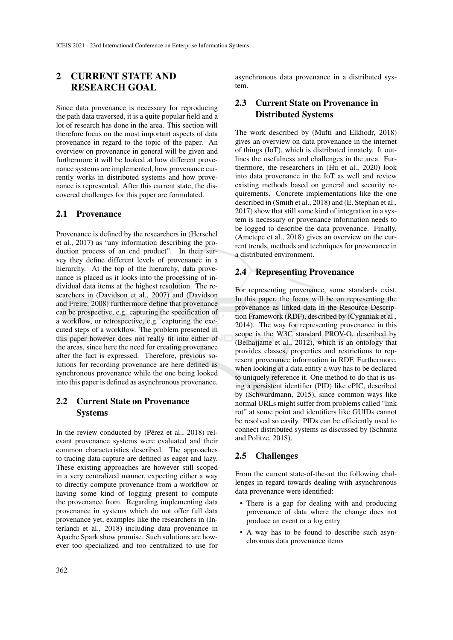# 2 CURRENT STATE AND RESEARCH GOAL

Since data provenance is necessary for reproducing the path data traversed, it is a quite popular field and a lot of research has done in the area. This section will therefore focus on the most important aspects of data provenance in regard to the topic of the paper. An overview on provenance in general will be given and furthermore it will be looked at how different provenance systems are implemented, how provenance currently works in distributed systems and how provenance is represented. After this current state, the discovered challenges for this paper are formulated.

### 2.1 Provenance

Provenance is defined by the researchers in (Herschel et al., 2017) as "any information describing the production process of an end product". In their survey they define different levels of provenance in a hierarchy. At the top of the hierarchy, data provenance is placed as it looks into the processing of individual data items at the highest resolution. The researchers in (Davidson et al., 2007) and (Davidson and Freire, 2008) furthermore define that provenance can be prospective, e.g. capturing the specification of a workflow, or retrospective, e.g. capturing the executed steps of a workflow. The problem presented in this paper however does not really fit into either of the areas, since here the need for creating provenance after the fact is expressed. Therefore, previous solutions for recording provenance are here defined as synchronous provenance while the one being looked into this paper is defined as asynchronous provenance.

## 2.2 Current State on Provenance **Systems**

In the review conducted by (Pérez et al., 2018) relevant provenance systems were evaluated and their common characteristics described. The approaches to tracing data capture are defined as eager and lazy. These existing approaches are however still scoped in a very centralized manner, expecting either a way to directly compute provenance from a workflow or having some kind of logging present to compute the provenance from. Regarding implementing data provenance in systems which do not offer full data provenance yet, examples like the researchers in (Interlandi et al., 2018) including data provenance in Apache Spark show promise. Such solutions are however too specialized and too centralized to use for asynchronous data provenance in a distributed system.

## 2.3 Current State on Provenance in Distributed Systems

The work described by (Mufti and Elkhodr, 2018) gives an overview on data provenance in the internet of things (IoT), which is distributed innately. It outlines the usefulness and challenges in the area. Furthermore, the researchers in (Hu et al., 2020) look into data provenance in the IoT as well and review existing methods based on general and security requirements. Concrete implementations like the one described in (Smith et al., 2018) and (E. Stephan et al., 2017) show that still some kind of integration in a system is necessary or provenance information needs to be logged to describe the data provenance. Finally, (Ametepe et al., 2018) gives an overview on the current trends, methods and techniques for provenance in a distributed environment.

### 2.4 Representing Provenance

For representing provenance, some standards exist. In this paper, the focus will be on representing the provenance as linked data in the Resource Description Framework (RDF), described by (Cyganiak et al., 2014). The way for representing provenance in this scope is the W3C standard PROV-O, described by (Belhajjame et al., 2012), which is an ontology that provides classes, properties and restrictions to represent provenance information in RDF. Furthermore, when looking at a data entity a way has to be declared to uniquely reference it. One method to do that is using a persistent identifier (PID) like ePIC, described by (Schwardmann, 2015), since common ways like normal URLs might suffer from problems called "link rot" at some point and identifiers like GUIDs cannot be resolved so easily. PIDs can be efficiently used to connect distributed systems as discussed by (Schmitz and Politze, 2018).

### 2.5 Challenges

From the current state-of-the-art the following challenges in regard towards dealing with asynchronous data provenance were identified:

- There is a gap for dealing with and producing provenance of data where the change does not produce an event or a log entry
- A way has to be found to describe such asynchronous data provenance items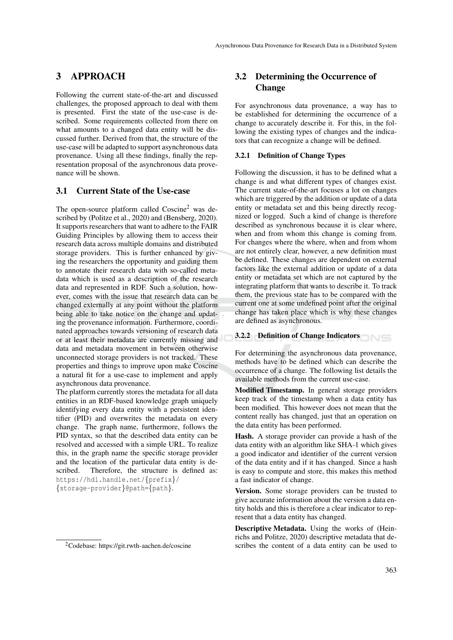## 3 APPROACH

Following the current state-of-the-art and discussed challenges, the proposed approach to deal with them is presented. First the state of the use-case is described. Some requirements collected from there on what amounts to a changed data entity will be discussed further. Derived from that, the structure of the use-case will be adapted to support asynchronous data provenance. Using all these findings, finally the representation proposal of the asynchronous data provenance will be shown.

## 3.1 Current State of the Use-case

The open-source platform called Coscine<sup>2</sup> was described by (Politze et al., 2020) and (Bensberg, 2020). It supports researchers that want to adhere to the FAIR Guiding Principles by allowing them to access their research data across multiple domains and distributed storage providers. This is further enhanced by giving the researchers the opportunity and guiding them to annotate their research data with so-called metadata which is used as a description of the research data and represented in RDF. Such a solution, however, comes with the issue that research data can be changed externally at any point without the platform being able to take notice on the change and updating the provenance information. Furthermore, coordinated approaches towards versioning of research data or at least their metadata are currently missing and data and metadata movement in between otherwise unconnected storage providers is not tracked. These properties and things to improve upon make Coscine a natural fit for a use-case to implement and apply asynchronous data provenance.

The platform currently stores the metadata for all data entities in an RDF-based knowledge graph uniquely identifying every data entity with a persistent identifier (PID) and overwrites the metadata on every change. The graph name, furthermore, follows the PID syntax, so that the described data entity can be resolved and accessed with a simple URL. To realize this, in the graph name the specific storage provider and the location of the particular data entity is described. Therefore, the structure is defined as: https://hdl.handle.net/{prefix}/ {storage-provider}@path={path}.

## 3.2 Determining the Occurrence of **Change**

For asynchronous data provenance, a way has to be established for determining the occurrence of a change to accurately describe it. For this, in the following the existing types of changes and the indicators that can recognize a change will be defined.

#### 3.2.1 Definition of Change Types

Following the discussion, it has to be defined what a change is and what different types of changes exist. The current state-of-the-art focuses a lot on changes which are triggered by the addition or update of a data entity or metadata set and this being directly recognized or logged. Such a kind of change is therefore described as synchronous because it is clear where, when and from whom this change is coming from. For changes where the where, when and from whom are not entirely clear, however, a new definition must be defined. These changes are dependent on external factors like the external addition or update of a data entity or metadata set which are not captured by the integrating platform that wants to describe it. To track them, the previous state has to be compared with the current one at some undefined point after the original change has taken place which is why these changes are defined as asynchronous.

### 3.2.2 Definition of Change Indicators

For determining the asynchronous data provenance, methods have to be defined which can describe the occurrence of a change. The following list details the available methods from the current use-case.

Modified Timestamp. In general storage providers keep track of the timestamp when a data entity has been modified. This however does not mean that the content really has changed, just that an operation on the data entity has been performed.

Hash. A storage provider can provide a hash of the data entity with an algorithm like SHA-1 which gives a good indicator and identifier of the current version of the data entity and if it has changed. Since a hash is easy to compute and store, this makes this method a fast indicator of change.

Version. Some storage providers can be trusted to give accurate information about the version a data entity holds and this is therefore a clear indicator to represent that a data entity has changed.

Descriptive Metadata. Using the works of (Heinrichs and Politze, 2020) descriptive metadata that describes the content of a data entity can be used to

<sup>2</sup>Codebase: https://git.rwth-aachen.de/coscine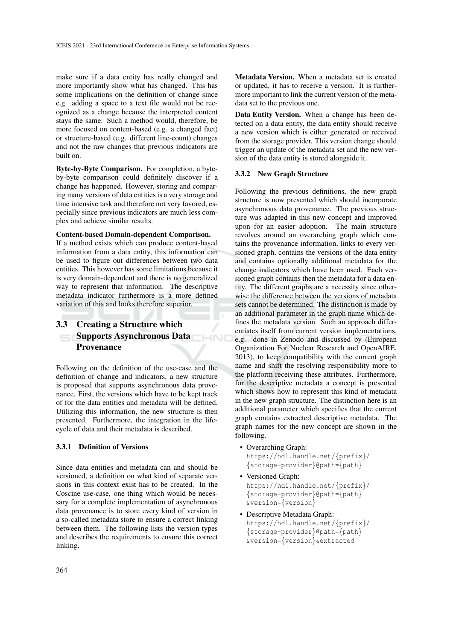make sure if a data entity has really changed and more importantly show what has changed. This has some implications on the definition of change since e.g. adding a space to a text file would not be recognized as a change because the interpreted content stays the same. Such a method would, therefore, be more focused on content-based (e.g. a changed fact) or structure-based (e.g. different line-count) changes and not the raw changes that previous indicators are built on.

Byte-by-Byte Comparison. For completion, a byteby-byte comparison could definitely discover if a change has happened. However, storing and comparing many versions of data entities is a very storage and time intensive task and therefore not very favored, especially since previous indicators are much less complex and achieve similar results.

#### Content-based Domain-dependent Comparison.

If a method exists which can produce content-based information from a data entity, this information can be used to figure out differences between two data entities. This however has some limitations because it is very domain-dependent and there is no generalized way to represent that information. The descriptive metadata indicator furthermore is a more defined variation of this and looks therefore superior.

# 3.3 Creating a Structure which Supports Asynchronous Data Provenance

Following on the definition of the use-case and the definition of change and indicators, a new structure is proposed that supports asynchronous data provenance. First, the versions which have to be kept track of for the data entities and metadata will be defined. Utilizing this information, the new structure is then presented. Furthermore, the integration in the lifecycle of data and their metadata is described.

#### 3.3.1 Definition of Versions

Since data entities and metadata can and should be versioned, a definition on what kind of separate versions in this context exist has to be created. In the Coscine use-case, one thing which would be necessary for a complete implementation of asynchronous data provenance is to store every kind of version in a so-called metadata store to ensure a correct linking between them. The following lists the version types and describes the requirements to ensure this correct linking.

Metadata Version. When a metadata set is created or updated, it has to receive a version. It is furthermore important to link the current version of the metadata set to the previous one.

Data Entity Version. When a change has been detected on a data entity, the data entity should receive a new version which is either generated or received from the storage provider. This version change should trigger an update of the metadata set and the new version of the data entity is stored alongside it.

#### 3.3.2 New Graph Structure

Following the previous definitions, the new graph structure is now presented which should incorporate asynchronous data provenance. The previous structure was adapted in this new concept and improved upon for an easier adoption. The main structure revolves around an overarching graph which contains the provenance information, links to every versioned graph, contains the versions of the data entity and contains optionally additional metadata for the change indicators which have been used. Each versioned graph contains then the metadata for a data entity. The different graphs are a necessity since otherwise the difference between the versions of metadata sets cannot be determined. The distinction is made by an additional parameter in the graph name which defines the metadata version. Such an approach differentiates itself from current version implementations, e.g. done in Zenodo and discussed by (European Organization For Nuclear Research and OpenAIRE, 2013), to keep compatibility with the current graph name and shift the resolving responsibility more to the platform receiving these attributes. Furthermore, for the descriptive metadata a concept is presented which shows how to represent this kind of metadata in the new graph structure. The distinction here is an additional parameter which specifies that the current graph contains extracted descriptive metadata. The graph names for the new concept are shown in the following.

• Overarching Graph:

HND

https://hdl.handle.net/{prefix}/ {storage-provider}@path={path}

- Versioned Graph: https://hdl.handle.net/{prefix}/ {storage-provider}@path={path} &version={version}
- Descriptive Metadata Graph: https://hdl.handle.net/{prefix}/ {storage-provider}@path={path} &version={version}&extracted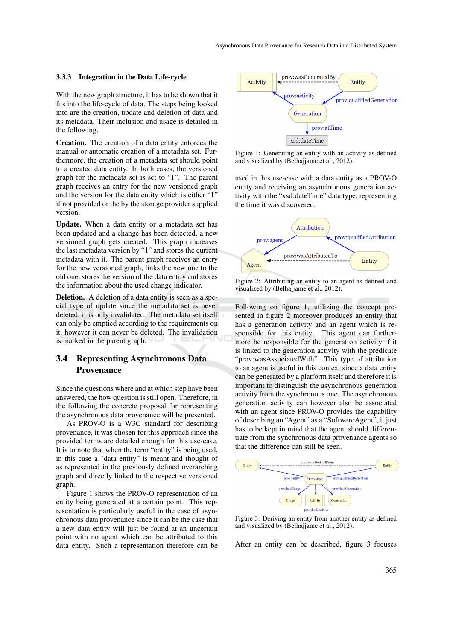#### 3.3.3 Integration in the Data Life-cycle

With the new graph structure, it has to be shown that it fits into the life-cycle of data. The steps being looked into are the creation, update and deletion of data and its metadata. Their inclusion and usage is detailed in the following.

Creation. The creation of a data entity enforces the manual or automatic creation of a metadata set. Furthermore, the creation of a metadata set should point to a created data entity. In both cases, the versioned graph for the metadata set is set to "1". The parent graph receives an entry for the new versioned graph and the version for the data entity which is either "1" if not provided or the by the storage provider supplied version.

Update. When a data entity or a metadata set has been updated and a change has been detected, a new versioned graph gets created. This graph increases the last metadata version by "1" and stores the current metadata with it. The parent graph receives an entry for the new versioned graph, links the new one to the old one, stores the version of the data entity and stores the information about the used change indicator.

Deletion. A deletion of a data entity is seen as a special type of update since the metadata set is never deleted, it is only invalidated. The metadata set itself can only be emptied according to the requirements on it, however it can never be deleted. The invalidation is marked in the parent graph.

## 3.4 Representing Asynchronous Data Provenance

Since the questions where and at which step have been answered, the how question is still open. Therefore, in the following the concrete proposal for representing the asynchronous data provenance will be presented.

As PROV-O is a W3C standard for describing provenance, it was chosen for this approach since the provided terms are detailed enough for this use-case. It is to note that when the term "entity" is being used, in this case a "data entity" is meant and thought of as represented in the previously defined overarching graph and directly linked to the respective versioned graph.

Figure 1 shows the PROV-O representation of an entity being generated at a certain point. This representation is particularly useful in the case of asynchronous data provenance since it can be the case that a new data entity will just be found at an uncertain point with no agent which can be attributed to this data entity. Such a representation therefore can be



Figure 1: Generating an entity with an activity as defined and visualized by (Belhajjame et al., 2012).

used in this use-case with a data entity as a PROV-O entity and receiving an asynchronous generation activity with the "xsd:dateTime" data type, representing the time it was discovered.



Figure 2: Attributing an entity to an agent as defined and visualized by (Belhajjame et al., 2012).

Following on figure 1, utilizing the concept presented in figure 2 moreover produces an entity that has a generation activity and an agent which is responsible for this entity. This agent can furthermore be responsible for the generation activity if it is linked to the generation activity with the predicate "prov:wasAssociatedWith". This type of attribution to an agent is useful in this context since a data entity can be generated by a platform itself and therefore it is important to distinguish the asynchronous generation activity from the synchronous one. The asynchronous generation activity can however also be associated with an agent since PROV-O provides the capability of describing an "Agent" as a "SoftwareAgent", it just has to be kept in mind that the agent should differentiate from the synchronous data provenance agents so that the difference can still be seen.



Figure 3: Deriving an entity from another entity as defined and visualized by (Belhajjame et al., 2012).

After an entity can be described, figure 3 focuses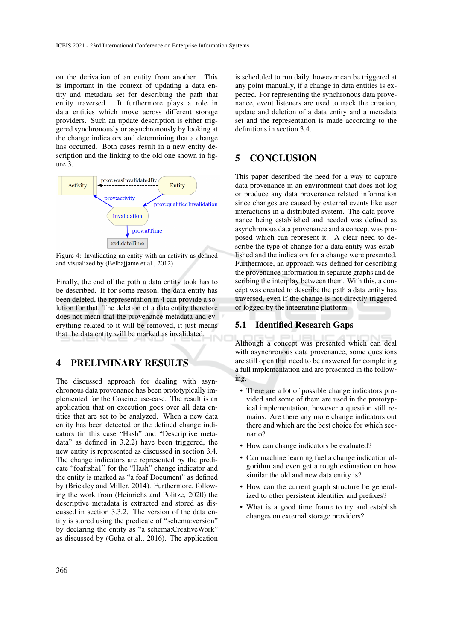on the derivation of an entity from another. This is important in the context of updating a data entity and metadata set for describing the path that entity traversed. It furthermore plays a role in data entities which move across different storage providers. Such an update description is either triggered synchronously or asynchronously by looking at the change indicators and determining that a change has occurred. Both cases result in a new entity description and the linking to the old one shown in figure 3.



Figure 4: Invalidating an entity with an activity as defined and visualized by (Belhajjame et al., 2012).

Finally, the end of the path a data entity took has to be described. If for some reason, the data entity has been deleted, the representation in 4 can provide a solution for that. The deletion of a data entity therefore does not mean that the provenance metadata and everything related to it will be removed, it just means that the data entity will be marked as invalidated.

## 4 PRELIMINARY RESULTS

The discussed approach for dealing with asynchronous data provenance has been prototypically implemented for the Coscine use-case. The result is an application that on execution goes over all data entities that are set to be analyzed. When a new data entity has been detected or the defined change indicators (in this case "Hash" and "Descriptive metadata" as defined in 3.2.2) have been triggered, the new entity is represented as discussed in section 3.4. The change indicators are represented by the predicate "foaf:sha1" for the "Hash" change indicator and the entity is marked as "a foaf:Document" as defined by (Brickley and Miller, 2014). Furthermore, following the work from (Heinrichs and Politze, 2020) the descriptive metadata is extracted and stored as discussed in section 3.3.2. The version of the data entity is stored using the predicate of "schema:version" by declaring the entity as "a schema:CreativeWork" as discussed by (Guha et al., 2016). The application is scheduled to run daily, however can be triggered at any point manually, if a change in data entities is expected. For representing the synchronous data provenance, event listeners are used to track the creation, update and deletion of a data entity and a metadata set and the representation is made according to the definitions in section 3.4.

# 5 CONCLUSION

This paper described the need for a way to capture data provenance in an environment that does not log or produce any data provenance related information since changes are caused by external events like user interactions in a distributed system. The data provenance being established and needed was defined as asynchronous data provenance and a concept was proposed which can represent it. A clear need to describe the type of change for a data entity was established and the indicators for a change were presented. Furthermore, an approach was defined for describing the provenance information in separate graphs and describing the interplay between them. With this, a concept was created to describe the path a data entity has traversed, even if the change is not directly triggered or logged by the integrating platform.

#### 5.1 Identified Research Gaps

Although a concept was presented which can deal with asynchronous data provenance, some questions are still open that need to be answered for completing a full implementation and are presented in the following.

- There are a lot of possible change indicators provided and some of them are used in the prototypical implementation, however a question still remains. Are there any more change indicators out there and which are the best choice for which scenario?
- How can change indicators be evaluated?
- Can machine learning fuel a change indication algorithm and even get a rough estimation on how similar the old and new data entity is?
- How can the current graph structure be generalized to other persistent identifier and prefixes?
- What is a good time frame to try and establish changes on external storage providers?